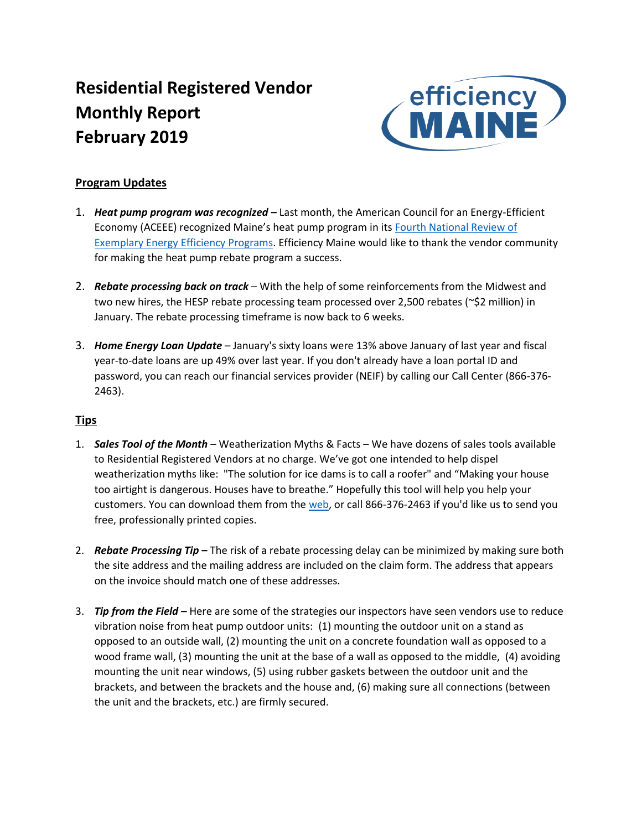# **Residential Registered Vendor Monthly Report February 2019**



# **Program Updates**

- 1. *Heat pump program was recognized* **–** Last month, the American Council for an Energy-Efficient Economy (ACEEE) recognized Maine's heat pump program in its [Fourth National Review of](https://aceee.org/press/2019/01/aceee-honors-outstanding-utility)  [Exemplary Energy Efficiency Programs.](https://aceee.org/press/2019/01/aceee-honors-outstanding-utility) Efficiency Maine would like to thank the vendor community for making the heat pump rebate program a success.
- 2. *Rebate processing back on track* With the help of some reinforcements from the Midwest and two new hires, the HESP rebate processing team processed over 2,500 rebates (~\$2 million) in January. The rebate processing timeframe is now back to 6 weeks.
- 3. *Home Energy Loan Update* January's sixty loans were 13% above January of last year and fiscal year-to-date loans are up 49% over last year. If you don't already have a loan portal ID and password, you can reach our financial services provider (NEIF) by calling our Call Center (866-376- 2463).

# **Tips**

- 1. *Sales Tool of the Month* Weatherization Myths & Facts We have dozens of sales tools available to Residential Registered Vendors at no charge. We've got one intended to help dispel weatherization myths like: "The solution for ice dams is to call a roofer" and "Making your house too airtight is dangerous. Houses have to breathe." Hopefully this tool will help you help your customers. You can download them from th[e web,](https://www.efficiencymaine.com/docs/EMMythsAndFacts.pdf) or call 866-376-2463 if you'd like us to send you free, professionally printed copies.
- 2. *Rebate Processing Tip* **–** The risk of a rebate processing delay can be minimized by making sure both the site address and the mailing address are included on the claim form. The address that appears on the invoice should match one of these addresses.
- 3. *Tip from the Field –* Here are some of the strategies our inspectors have seen vendors use to reduce vibration noise from heat pump outdoor units: (1) mounting the outdoor unit on a stand as opposed to an outside wall, (2) mounting the unit on a concrete foundation wall as opposed to a wood frame wall, (3) mounting the unit at the base of a wall as opposed to the middle, (4) avoiding mounting the unit near windows, (5) using rubber gaskets between the outdoor unit and the brackets, and between the brackets and the house and, (6) making sure all connections (between the unit and the brackets, etc.) are firmly secured.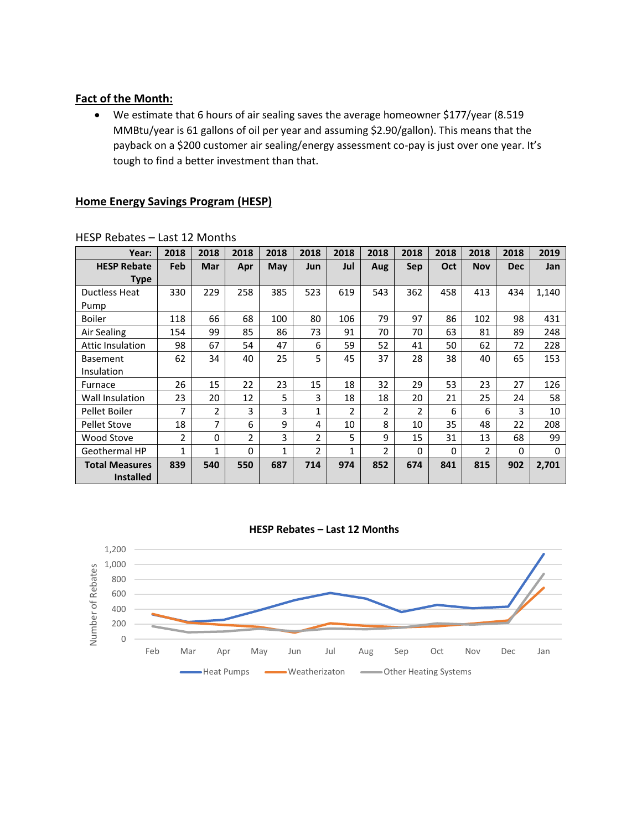# **Fact of the Month:**

• We estimate that 6 hours of air sealing saves the average homeowner \$177/year (8.519 MMBtu/year is 61 gallons of oil per year and assuming \$2.90/gallon). This means that the payback on a \$200 customer air sealing/energy assessment co-pay is just over one year. It's tough to find a better investment than that.

#### **Home Energy Savings Program (HESP)**

| Year:                   | 2018           | 2018           | 2018           | 2018         | 2018           | 2018 | 2018           | 2018           | 2018 | 2018       | 2018       | 2019  |
|-------------------------|----------------|----------------|----------------|--------------|----------------|------|----------------|----------------|------|------------|------------|-------|
| <b>HESP Rebate</b>      | Feb            | Mar            | Apr            | <b>May</b>   | Jun            | Jul  | Aug            | <b>Sep</b>     | Oct  | <b>Nov</b> | <b>Dec</b> | Jan   |
| Type                    |                |                |                |              |                |      |                |                |      |            |            |       |
| <b>Ductless Heat</b>    | 330            | 229            | 258            | 385          | 523            | 619  | 543            | 362            | 458  | 413        | 434        | 1,140 |
| Pump                    |                |                |                |              |                |      |                |                |      |            |            |       |
| <b>Boiler</b>           | 118            | 66             | 68             | 100          | 80             | 106  | 79             | 97             | 86   | 102        | 98         | 431   |
| Air Sealing             | 154            | 99             | 85             | 86           | 73             | 91   | 70             | 70             | 63   | 81         | 89         | 248   |
| <b>Attic Insulation</b> | 98             | 67             | 54             | 47           | 6              | 59   | 52             | 41             | 50   | 62         | 72         | 228   |
| <b>Basement</b>         | 62             | 34             | 40             | 25           | 5              | 45   | 37             | 28             | 38   | 40         | 65         | 153   |
| Insulation              |                |                |                |              |                |      |                |                |      |            |            |       |
| Furnace                 | 26             | 15             | 22             | 23           | 15             | 18   | 32             | 29             | 53   | 23         | 27         | 126   |
| Wall Insulation         | 23             | 20             | 12             | 5            | 3              | 18   | 18             | 20             | 21   | 25         | 24         | 58    |
| Pellet Boiler           | 7              | $\overline{2}$ | 3              | 3            | 1              | 2    | $\overline{2}$ | $\overline{2}$ | 6    | 6          | 3          | 10    |
| <b>Pellet Stove</b>     | 18             | 7              | 6              | 9            | 4              | 10   | 8              | 10             | 35   | 48         | 22         | 208   |
| Wood Stove              | $\overline{2}$ | 0              | $\overline{2}$ | 3            | $\overline{2}$ | 5    | 9              | 15             | 31   | 13         | 68         | 99    |
| <b>Geothermal HP</b>    | 1              | 1              | $\Omega$       | $\mathbf{1}$ | $\overline{2}$ | 1    | $\overline{2}$ | 0              | 0    | 2          | 0          | 0     |
| <b>Total Measures</b>   | 839            | 540            | 550            | 687          | 714            | 974  | 852            | 674            | 841  | 815        | 902        | 2,701 |
| <b>Installed</b>        |                |                |                |              |                |      |                |                |      |            |            |       |

HESP Rebates – Last 12 Months



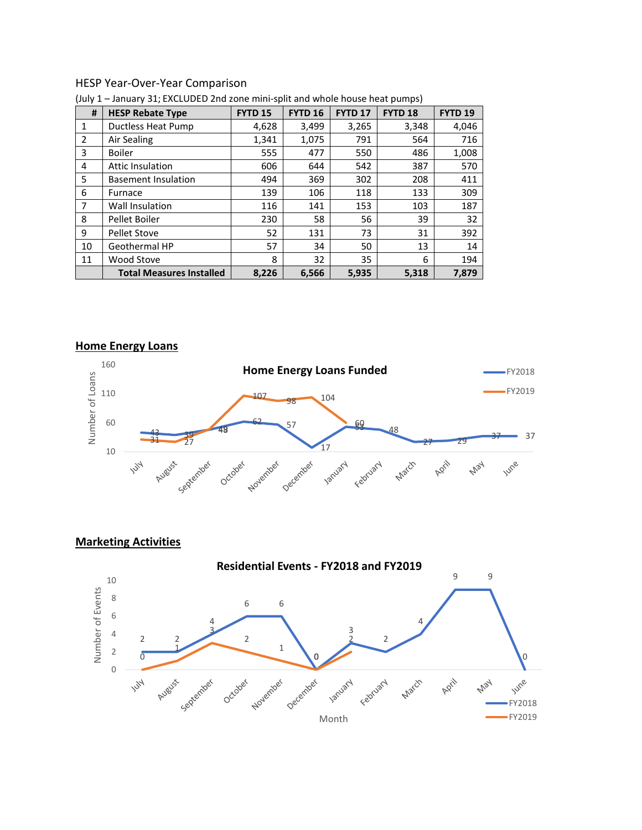#### HESP Year-Over-Year Comparison

| #              | <b>HESP Rebate Type</b>         | <b>FYTD 15</b> | <b>FYTD 16</b> | <b>FYTD 17</b> | FYTD <sub>18</sub> | FYTD <sub>19</sub> |
|----------------|---------------------------------|----------------|----------------|----------------|--------------------|--------------------|
| 1              | <b>Ductless Heat Pump</b>       | 4,628          | 3,499          | 3,265          | 3,348              | 4,046              |
| $\overline{2}$ | Air Sealing                     | 1,341          | 1,075          | 791            | 564                | 716                |
| 3              | <b>Boiler</b>                   | 555            | 477            | 550            | 486                | 1,008              |
| 4              | <b>Attic Insulation</b>         | 606            | 644            | 542            | 387                | 570                |
| 5              | <b>Basement Insulation</b>      | 494            | 369            | 302            | 208                | 411                |
| 6              | Furnace                         | 139            | 106            | 118            | 133                | 309                |
| 7              | Wall Insulation                 | 116            | 141            | 153            | 103                | 187                |
| 8              | Pellet Boiler                   | 230            | 58             | 56             | 39                 | 32                 |
| 9              | Pellet Stove                    | 52             | 131            | 73             | 31                 | 392                |
| 10             | Geothermal HP                   | 57             | 34             | 50             | 13                 | 14                 |
| 11             | Wood Stove                      | 8              | 32             | 35             | 6                  | 194                |
|                | <b>Total Measures Installed</b> | 8,226          | 6,566          | 5,935          | 5,318              | 7,879              |

(July 1 – January 31; EXCLUDED 2nd zone mini-split and whole house heat pumps)

#### **Home Energy Loans**



**Marketing Activities**